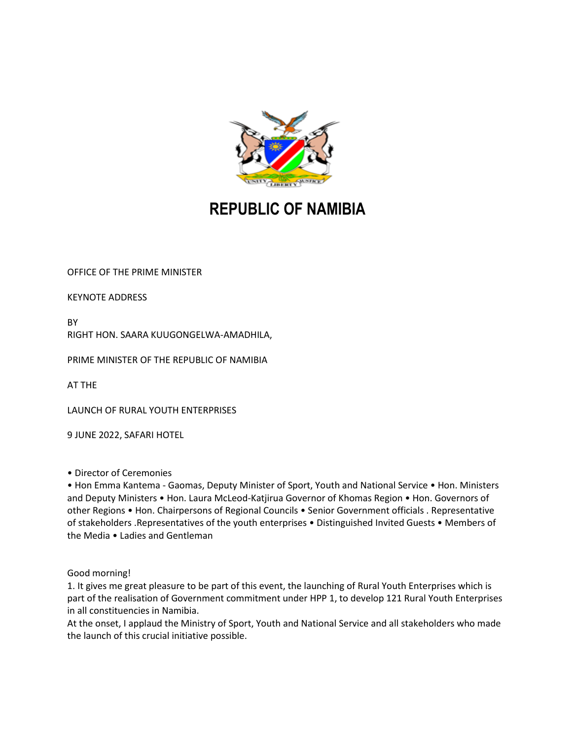

## **REPUBLIC OF NAMIBIA**

OFFICE OF THE PRIME MINISTER

KEYNOTE ADDRESS

BY

RIGHT HON. SAARA KUUGONGELWA-AMADHILA,

PRIME MINISTER OF THE REPUBLIC OF NAMIBIA

AT THE

LAUNCH OF RURAL YOUTH ENTERPRISES

9 JUNE 2022, SAFARI HOTEL

• Director of Ceremonies

• Hon Emma Kantema - Gaomas, Deputy Minister of Sport, Youth and National Service • Hon. Ministers and Deputy Ministers • Hon. Laura McLeod-Katjirua Governor of Khomas Region • Hon. Governors of other Regions • Hon. Chairpersons of Regional Councils • Senior Government officials . Representative of stakeholders .Representatives of the youth enterprises • Distinguished Invited Guests • Members of the Media • Ladies and Gentleman

Good morning!

1. It gives me great pleasure to be part of this event, the launching of Rural Youth Enterprises which is part of the realisation of Government commitment under HPP 1, to develop 121 Rural Youth Enterprises in all constituencies in Namibia.

At the onset, I applaud the Ministry of Sport, Youth and National Service and all stakeholders who made the launch of this crucial initiative possible.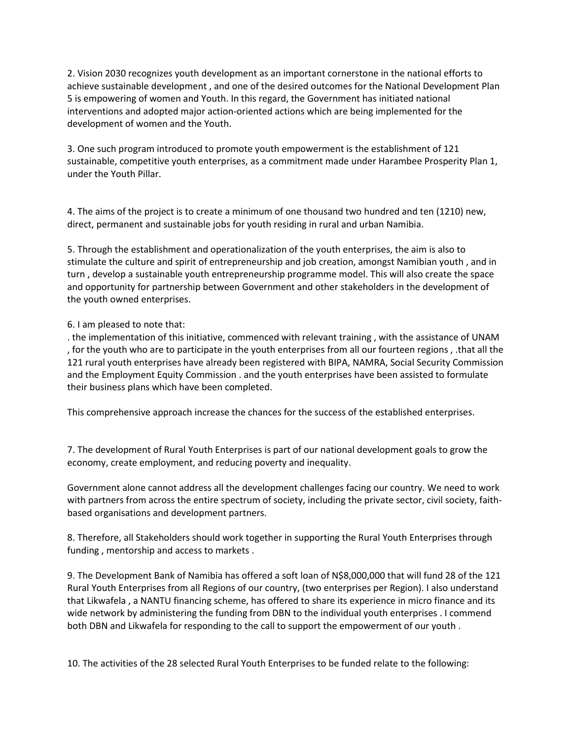2. Vision 2030 recognizes youth development as an important cornerstone in the national efforts to achieve sustainable development , and one of the desired outcomes for the National Development Plan 5 is empowering of women and Youth. In this regard, the Government has initiated national interventions and adopted major action-oriented actions which are being implemented for the development of women and the Youth.

3. One such program introduced to promote youth empowerment is the establishment of 121 sustainable, competitive youth enterprises, as a commitment made under Harambee Prosperity Plan 1, under the Youth Pillar.

4. The aims of the project is to create a minimum of one thousand two hundred and ten (1210) new, direct, permanent and sustainable jobs for youth residing in rural and urban Namibia.

5. Through the establishment and operationalization of the youth enterprises, the aim is also to stimulate the culture and spirit of entrepreneurship and job creation, amongst Namibian youth , and in turn , develop a sustainable youth entrepreneurship programme model. This will also create the space and opportunity for partnership between Government and other stakeholders in the development of the youth owned enterprises.

## 6. I am pleased to note that:

. the implementation of this initiative, commenced with relevant training , with the assistance of UNAM , for the youth who are to participate in the youth enterprises from all our fourteen regions , .that all the 121 rural youth enterprises have already been registered with BIPA, NAMRA, Social Security Commission and the Employment Equity Commission . and the youth enterprises have been assisted to formulate their business plans which have been completed.

This comprehensive approach increase the chances for the success of the established enterprises.

7. The development of Rural Youth Enterprises is part of our national development goals to grow the economy, create employment, and reducing poverty and inequality.

Government alone cannot address all the development challenges facing our country. We need to work with partners from across the entire spectrum of society, including the private sector, civil society, faithbased organisations and development partners.

8. Therefore, all Stakeholders should work together in supporting the Rural Youth Enterprises through funding , mentorship and access to markets .

9. The Development Bank of Namibia has offered a soft loan of N\$8,000,000 that will fund 28 of the 121 Rural Youth Enterprises from all Regions of our country, (two enterprises per Region). I also understand that Likwafela , a NANTU financing scheme, has offered to share its experience in micro finance and its wide network by administering the funding from DBN to the individual youth enterprises . I commend both DBN and Likwafela for responding to the call to support the empowerment of our youth .

10. The activities of the 28 selected Rural Youth Enterprises to be funded relate to the following: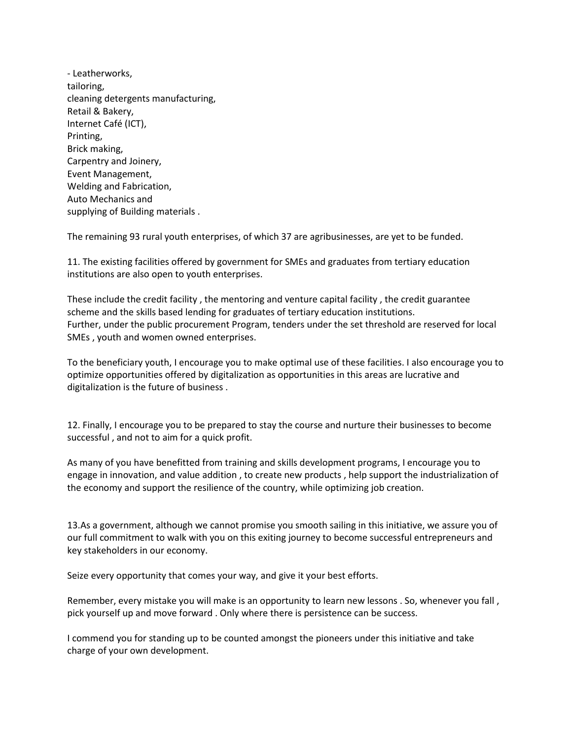| - Leatherworks,                    |
|------------------------------------|
| tailoring,                         |
| cleaning detergents manufacturing, |
| Retail & Bakery,                   |
| Internet Café (ICT),               |
| Printing,                          |
| Brick making,                      |
| Carpentry and Joinery,             |
| Event Management,                  |
| Welding and Fabrication,           |
| Auto Mechanics and                 |
| supplying of Building materials.   |

The remaining 93 rural youth enterprises, of which 37 are agribusinesses, are yet to be funded.

11. The existing facilities offered by government for SMEs and graduates from tertiary education institutions are also open to youth enterprises.

These include the credit facility , the mentoring and venture capital facility , the credit guarantee scheme and the skills based lending for graduates of tertiary education institutions. Further, under the public procurement Program, tenders under the set threshold are reserved for local SMEs , youth and women owned enterprises.

To the beneficiary youth, I encourage you to make optimal use of these facilities. I also encourage you to optimize opportunities offered by digitalization as opportunities in this areas are lucrative and digitalization is the future of business .

12. Finally, I encourage you to be prepared to stay the course and nurture their businesses to become successful , and not to aim for a quick profit.

As many of you have benefitted from training and skills development programs, I encourage you to engage in innovation, and value addition , to create new products , help support the industrialization of the economy and support the resilience of the country, while optimizing job creation.

13.As a government, although we cannot promise you smooth sailing in this initiative, we assure you of our full commitment to walk with you on this exiting journey to become successful entrepreneurs and key stakeholders in our economy.

Seize every opportunity that comes your way, and give it your best efforts.

Remember, every mistake you will make is an opportunity to learn new lessons . So, whenever you fall, pick yourself up and move forward . Only where there is persistence can be success.

I commend you for standing up to be counted amongst the pioneers under this initiative and take charge of your own development.